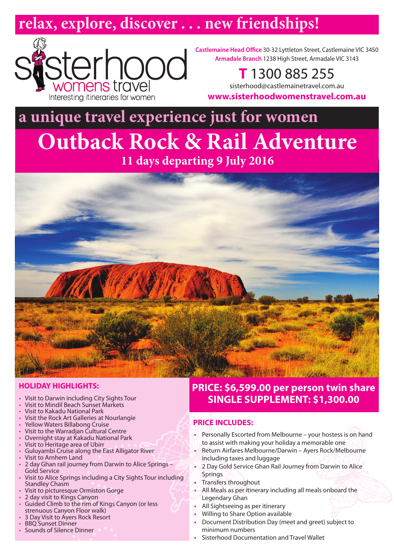# **relax, explore, discover . . . new friendships!**



**Castlemaine Head Office** 30-32 Lyttleton Street, Castlemaine VIC 3450 **Armadale Branch** 1238 High Street, Armadale VIC 3143

**T** 1300 885 255

sisterhood@castlemainetravel.com.au **www.sisterhoodwomenstravel.com.au**

# **a unique travel experience just for women Outback Rock & Rail Adventure**

**11 days departing 9 July 2016**



# **HOLIDAY HIGHLIGHTS:**

- Visit to Darwin including City Sights Tour
- Visit to Mindil Beach Sunset Markets
- Visit to Kakadu National Park
- Visit the Rock Art Galleries at Nourlangie
- Yellow Waters Billabong Cruise
- Visit to the Warradjan Cultural Centre • Overnight stay at Kakadu National Park
- Visit to Heritage area of Ubirr
- Guluyambi Cruise along the East Alligator River
- Visit to Arnhem Land
- 2 day Ghan rail journey from Darwin to Alice Springs Gold Service
- Visit to Alice Springs including a City Sights Tour including Standley Chasm
- Visit to picturesque Ormiston Gorge
- 2 day visit to Kings Canyon
- Guided Climb to the rim of Kings Canyon (or less strenuous Canyon Floor walk)
- 3 Day Visit to Ayers Rock Resort
- BBQ Sunset Dinner
- Sounds of Silence Dinner

# **PRICE: \$6,599.00 per person twin share SINGLE SUPPLEMENT: \$1,300.00**

# **PRICE INCLUDES:**

- **•** Personally Escorted from Melbourne your hostess is on hand to assist with making your holiday a memorable one
- **•** Return Airfares Melbourne/Darwin Ayers Rock/Melbourne including taxes and luggage
- **•** 2 Day Gold Service Ghan Rail Journey from Darwin to Alice **Springs**
- **•** Transfers throughout
- **•** All Meals as per itinerary including all meals onboard the Legendary Ghan
- **•** All Sightseeing as per itinerary
- **•** Willing to Share Option available
- **•** Document Distribution Day (meet and greet) subject to minimum numbers
- **•** Sisterhood Documentation and Travel Wallet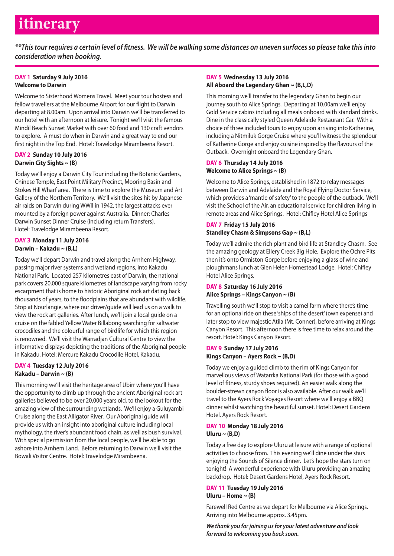# **itinerary**

*\*\*This tour requires a certain level of fitness. We will be walking some distances on uneven surfaces so please take this into consideration when booking.*

# **DAY 1 Saturday 9 July 2016 Welcome to Darwin**

Welcome to Sisterhood Womens Travel. Meet your tour hostess and fellow travellers at the Melbourne Airport for our flight to Darwin departing at 8.00am. Upon arrival into Darwin we'll be transferred to our hotel with an afternoon at leisure. Tonight we'll visit the famous Mindil Beach Sunset Market with over 60 food and 130 craft vendors to explore. A must do when in Darwin and a great way to end our first night in the Top End. Hotel: Travelodge Mirambeena Resort.

# **DAY 2 Sunday 10 July 2016 Darwin City Sights ~ (B)**

Today we'll enjoy a Darwin City Tour including the Botanic Gardens, Chinese Temple, East Point Military Precinct, Mooring Basin and Stokes Hill Wharf area. There is time to explore the Museum and Art Gallery of the Northern Territory. We'll visit the sites hit by Japanese air raids on Darwin during WWII in 1942, the largest attacks ever mounted by a foreign power against Australia. Dinner: Charles Darwin Sunset Dinner Cruise (including return Transfers). Hotel: Travelodge Mirambeena Resort.

#### **DAY 3 Monday 11 July 2016 Darwin – Kakadu ~ (B,L)**

Today we'll depart Darwin and travel along the Arnhem Highway, passing major river systems and wetland regions, into Kakadu National Park. Located 257 kilometres east of Darwin, the national park covers 20,000 square kilometres of landscape varying from rocky escarpment that is home to historic Aboriginal rock art dating back thousands of years, to the floodplains that are abundant with wildlife. Stop at Nourlangie, where our driver/guide will lead us on a walk to view the rock art galleries. After lunch, we'll join a local guide on a cruise on the fabled Yellow Water Billabong searching for saltwater crocodiles and the colourful range of birdlife for which this region is renowned. We'll visit the Warradjan Cultural Centre to view the informative displays depicting the traditions of the Aboriginal people in Kakadu. Hotel: Mercure Kakadu Crocodile Hotel, Kakadu.

# **DAY 4 Tuesday 12 July 2016 Kakadu – Darwin ~ (B)**

This morning we'll visit the heritage area of Ubirr where you'll have the opportunity to climb up through the ancient Aboriginal rock art galleries believed to be over 20,000 years old, to the lookout for the amazing view of the surrounding wetlands. We'll enjoy a Guluyambi Cruise along the East Alligator River. Our Aboriginal guide will provide us with an insight into aboriginal culture including local mythology, the river's abundant food chain, as well as bush survival. With special permission from the local people, we'll be able to go ashore into Arnhem Land. Before returning to Darwin we'll visit the Bowali Visitor Centre. Hotel: Travelodge Mirambeena.

# **DAY 5 Wednesday 13 July 2016 All Aboard the Legendary Ghan ~ (B,L,D)**

This morning we'll transfer to the legendary Ghan to begin our journey south to Alice Springs. Departing at 10.00am we'll enjoy Gold Service cabins including all meals onboard with standard drinks. Dine in the classically styled Queen Adelaide Restaurant Car. With a choice of three included tours to enjoy upon arriving into Katherine, including a Nitmiluk Gorge Cruise where you'll witness the splendour of Katherine Gorge and enjoy cuisine inspired by the flavours of the Outback. Overnight onboard the Legendary Ghan.

# **DAY 6 Thursday 14 July 2016 Welcome to Alice Springs ~ (B)**

Welcome to Alice Springs, established in 1872 to relay messages between Darwin and Adelaide and the Royal Flying Doctor Service, which provides a 'mantle of safety' to the people of the outback. We'll visit the School of the Air, an educational service for children living in remote areas and Alice Springs. Hotel: Chifley Hotel Alice Springs

# **DAY 7 Friday 15 July 2016 Standley Chasm & Simpsons Gap ~ (B,L)**

Today we'll admire the rich plant and bird life at Standley Chasm. See the amazing geology at Ellery Creek Big Hole. Explore the Ochre Pits then it's onto Ormiston Gorge before enjoying a glass of wine and ploughmans lunch at Glen Helen Homestead Lodge. Hotel: Chifley Hotel Alice Springs.

#### **DAY 8 Saturday 16 July 2016 Alice Springs – Kings Canyon ~ (B)**

Travelling south we'll stop to visit a camel farm where there's time for an optional ride on these 'ships of the desert' (own expense) and later stop to view majestic Atila (Mt. Conner), before arriving at Kings Canyon Resort. This afternoon there is free time to relax around the resort. Hotel: Kings Canyon Resort.

# **DAY 9 Sunday 17 July 2016 Kings Canyon – Ayers Rock ~ (B,D)**

Today we enjoy a guided climb to the rim of Kings Canyon for marvellous views of Watarrka National Park (for those with a good level of fitness, sturdy shoes required). An easier walk along the boulder-strewn canyon floor is also available. After our walk we'll travel to the Ayers Rock Voyages Resort where we'll enjoy a BBQ dinner whilst watching the beautiful sunset. Hotel: Desert Gardens Hotel, Ayers Rock Resort.

#### **DAY 10 Monday 18 July 2016 Uluru ~ (B,D)**

Today a free day to explore Uluru at leisure with a range of optional activities to choose from. This evening we'll dine under the stars enjoying the Sounds of Silence dinner. Let's hope the stars turn on tonight! A wonderful experience with Uluru providing an amazing backdrop. Hotel: Desert Gardens Hotel, Ayers Rock Resort.

#### **DAY 11 Tuesday 19 July 2016 Uluru – Home ~ (B)**

Farewell Red Centre as we depart for Melbourne via Alice Springs. Arriving into Melbourne approx. 3.45pm.

*We thank you for joining us for your latest adventure and look forward to welcoming you back soon.*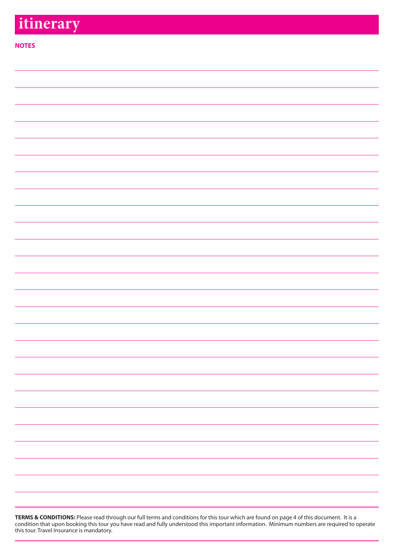# **itinerary**

# **NOTES**

| <b>TERMS &amp; CONDITIONS:</b> Please read through our full terms and conditions for this tour which are found on page 4 of this document. It is a |
|----------------------------------------------------------------------------------------------------------------------------------------------------|
| condition that upon booking this tour you have read and fully understood this important information. Minimum numbers are required to operate       |
| this tour. Travel Insurance is mandatory.                                                                                                          |